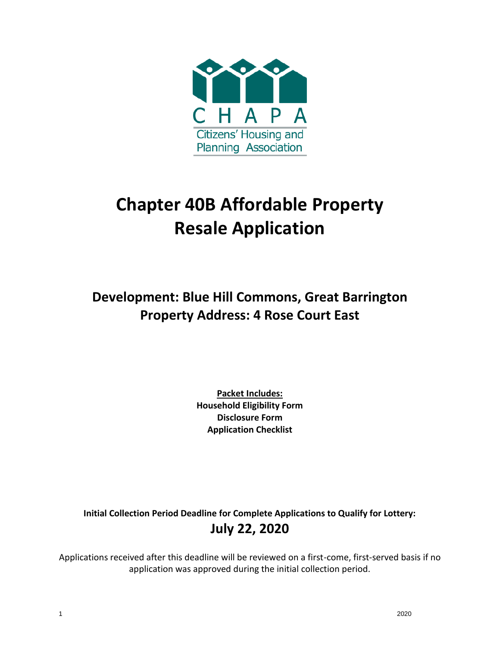

# **Chapter 40B Affordable Property Resale Application**

**Development: Blue Hill Commons, Great Barrington Property Address: 4 Rose Court East**

> **Packet Includes: Household Eligibility Form Disclosure Form Application Checklist**

**Initial Collection Period Deadline for Complete Applications to Qualify for Lottery: July 22, 2020**

Applications received after this deadline will be reviewed on a first-come, first-served basis if no application was approved during the initial collection period.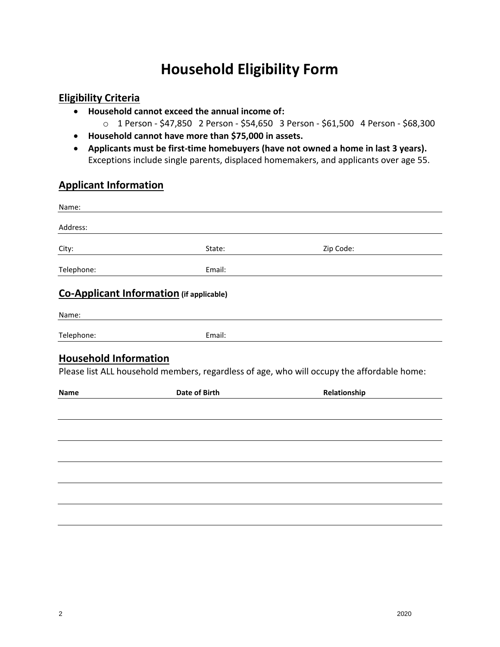# **Household Eligibility Form**

### **Eligibility Criteria**

- **Household cannot exceed the annual income of:**
	- o 1 Person \$47,850 2 Person \$54,650 3 Person \$61,500 4 Person \$68,300
- **Household cannot have more than \$75,000 in assets.**
- **Applicants must be first-time homebuyers (have not owned a home in last 3 years).**  Exceptions include single parents, displaced homemakers, and applicants over age 55.

## **Applicant Information**

| Name:                                       |                                                 |                                                                                                            |
|---------------------------------------------|-------------------------------------------------|------------------------------------------------------------------------------------------------------------|
| Address:                                    |                                                 |                                                                                                            |
| City:                                       | State:                                          | Zip Code:                                                                                                  |
| Telephone:                                  | Email:                                          |                                                                                                            |
|                                             | <b>Co-Applicant Information</b> (if applicable) |                                                                                                            |
| Name:                                       |                                                 |                                                                                                            |
| Telephone:                                  | Email:                                          |                                                                                                            |
| <b>Household Information</b><br><b>Name</b> | <b>Date of Birth</b>                            | Please list ALL household members, regardless of age, who will occupy the affordable home:<br>Relationship |
|                                             |                                                 |                                                                                                            |
|                                             |                                                 |                                                                                                            |
|                                             |                                                 |                                                                                                            |
|                                             |                                                 |                                                                                                            |
|                                             |                                                 |                                                                                                            |
|                                             |                                                 |                                                                                                            |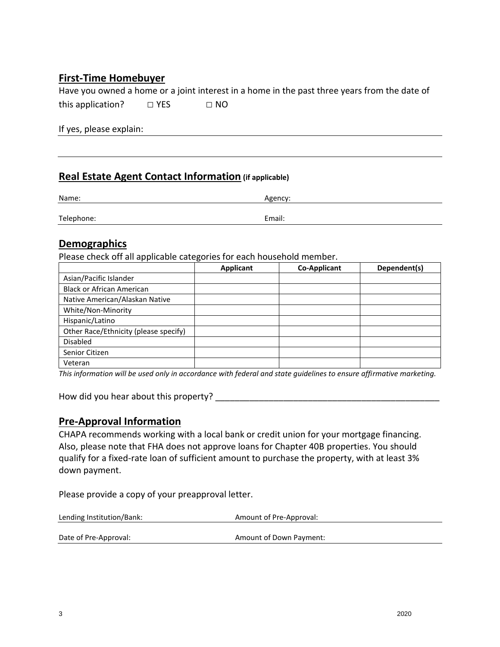### **First-Time Homebuyer**

Have you owned a home or a joint interest in a home in the past three years from the date of this application?  $□$  YES  $□$  NO

If yes, please explain:

#### **Real Estate Agent Contact Information (if applicable)**

| Name:      | Agency: |  |
|------------|---------|--|
| Telephone: | Email:  |  |
|            |         |  |

#### **Demographics**

Please check off all applicable categories for each household member.

|                                       | <b>Applicant</b> | <b>Co-Applicant</b> | Dependent(s) |
|---------------------------------------|------------------|---------------------|--------------|
| Asian/Pacific Islander                |                  |                     |              |
| <b>Black or African American</b>      |                  |                     |              |
| Native American/Alaskan Native        |                  |                     |              |
| White/Non-Minority                    |                  |                     |              |
| Hispanic/Latino                       |                  |                     |              |
| Other Race/Ethnicity (please specify) |                  |                     |              |
| <b>Disabled</b>                       |                  |                     |              |
| Senior Citizen                        |                  |                     |              |
| Veteran                               |                  |                     |              |

*This information will be used only in accordance with federal and state guidelines to ensure affirmative marketing.*

How did you hear about this property?

#### **Pre-Approval Information**

CHAPA recommends working with a local bank or credit union for your mortgage financing. Also, please note that FHA does not approve loans for Chapter 40B properties. You should qualify for a fixed-rate loan of sufficient amount to purchase the property, with at least 3% down payment.

Please provide a copy of your preapproval letter.

| Lending Institution/Bank: | Amount of Pre-Approval: |
|---------------------------|-------------------------|
| Date of Pre-Approval:     | Amount of Down Payment: |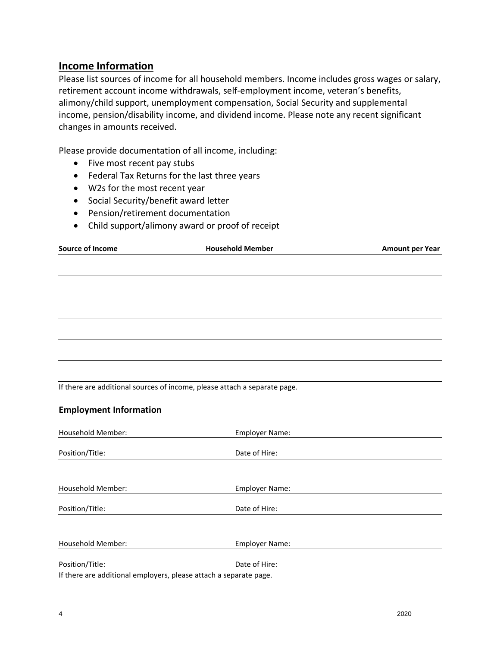#### **Income Information**

Please list sources of income for all household members. Income includes gross wages or salary, retirement account income withdrawals, self-employment income, veteran's benefits, alimony/child support, unemployment compensation, Social Security and supplemental income, pension/disability income, and dividend income. Please note any recent significant changes in amounts received.

Please provide documentation of all income, including:

- Five most recent pay stubs
- Federal Tax Returns for the last three years
- W2s for the most recent year
- Social Security/benefit award letter
- Pension/retirement documentation
- Child support/alimony award or proof of receipt

| <b>Source of Income</b> | <b>Household Member</b> | <b>Amount per Year</b> |
|-------------------------|-------------------------|------------------------|
|                         |                         |                        |
|                         |                         |                        |
|                         |                         |                        |
|                         |                         |                        |
|                         |                         |                        |
|                         |                         |                        |
|                         |                         |                        |
|                         |                         |                        |

If there are additional sources of income, please attach a separate page.

#### **Employment Information**

| <b>Household Member:</b>                                          | <b>Employer Name:</b> |
|-------------------------------------------------------------------|-----------------------|
|                                                                   | Date of Hire:         |
| Position/Title:                                                   |                       |
|                                                                   |                       |
| <b>Household Member:</b>                                          | <b>Employer Name:</b> |
| Position/Title:                                                   | Date of Hire:         |
|                                                                   |                       |
| Household Member:                                                 | <b>Employer Name:</b> |
| Position/Title:                                                   | Date of Hire:         |
| If there are additional employers, please attach a separate page. |                       |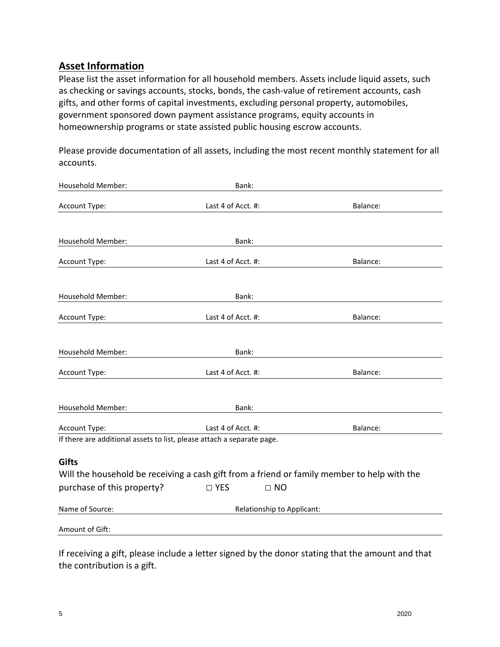### **Asset Information**

Please list the asset information for all household members. Assets include liquid assets, such as checking or savings accounts, stocks, bonds, the cash-value of retirement accounts, cash gifts, and other forms of capital investments, excluding personal property, automobiles, government sponsored down payment assistance programs, equity accounts in homeownership programs or state assisted public housing escrow accounts.

Please provide documentation of all assets, including the most recent monthly statement for all accounts.

| Household Member:                                                      | Bank:                                                                                       |          |
|------------------------------------------------------------------------|---------------------------------------------------------------------------------------------|----------|
| Account Type:                                                          | Last 4 of Acct. #:                                                                          | Balance: |
|                                                                        |                                                                                             |          |
| Household Member:                                                      | Bank:                                                                                       |          |
| Account Type:                                                          | Last 4 of Acct. #:                                                                          | Balance: |
|                                                                        |                                                                                             |          |
| Household Member:                                                      | Bank:                                                                                       |          |
| Account Type:                                                          | Last 4 of Acct. #:                                                                          | Balance: |
|                                                                        |                                                                                             |          |
| Household Member:                                                      | Bank:                                                                                       |          |
| Account Type:                                                          | Last 4 of Acct. #:                                                                          | Balance: |
|                                                                        |                                                                                             |          |
| Household Member:                                                      | Bank:                                                                                       |          |
| Account Type:                                                          | Last 4 of Acct. #:                                                                          | Balance: |
| If there are additional assets to list, please attach a separate page. |                                                                                             |          |
| <b>Gifts</b>                                                           |                                                                                             |          |
|                                                                        | Will the household be receiving a cash gift from a friend or family member to help with the |          |
| purchase of this property?                                             | $\square$ YES<br>$\Box$ NO                                                                  |          |
| Name of Source:                                                        | Relationship to Applicant:                                                                  |          |
| Amount of Gift:                                                        |                                                                                             |          |

If receiving a gift, please include a letter signed by the donor stating that the amount and that the contribution is a gift.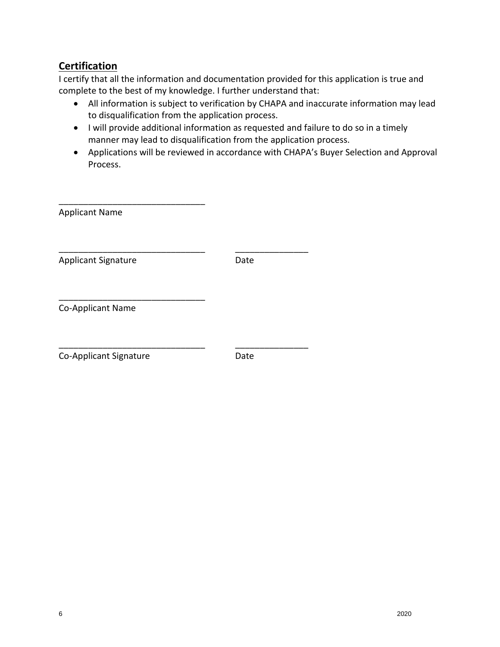# **Certification**

I certify that all the information and documentation provided for this application is true and complete to the best of my knowledge. I further understand that:

- All information is subject to verification by CHAPA and inaccurate information may lead to disqualification from the application process.
- I will provide additional information as requested and failure to do so in a timely manner may lead to disqualification from the application process.
- Applications will be reviewed in accordance with CHAPA's Buyer Selection and Approval Process.

| <b>Applicant Name</b>      |      |
|----------------------------|------|
| <b>Applicant Signature</b> | Date |
| Co-Applicant Name          |      |
| Co-Applicant Signature     | Date |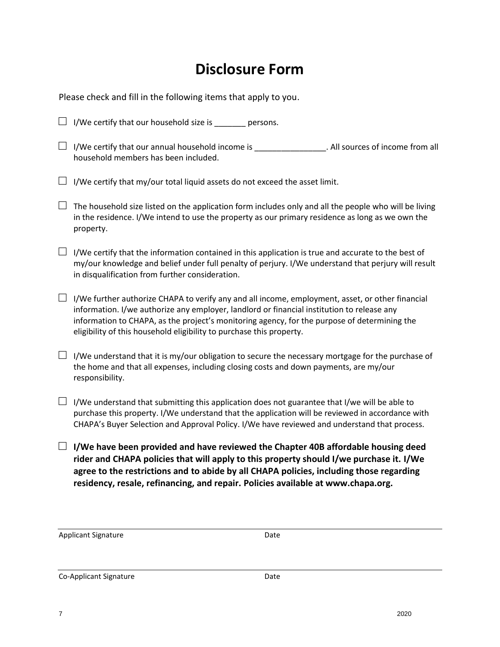# **Disclosure Form**

Please check and fill in the following items that apply to you.

| $\Box$ I/We certify that our household size is _______ persons.                                                                                                                                                                                                                                                                                                        |
|------------------------------------------------------------------------------------------------------------------------------------------------------------------------------------------------------------------------------------------------------------------------------------------------------------------------------------------------------------------------|
| $\Box$ I/We certify that our annual household income is _______________. All sources of income from all<br>household members has been included.                                                                                                                                                                                                                        |
| I/We certify that my/our total liquid assets do not exceed the asset limit.                                                                                                                                                                                                                                                                                            |
| The household size listed on the application form includes only and all the people who will be living<br>in the residence. I/We intend to use the property as our primary residence as long as we own the<br>property.                                                                                                                                                 |
| $\Box$ I/We certify that the information contained in this application is true and accurate to the best of<br>my/our knowledge and belief under full penalty of perjury. I/We understand that perjury will result<br>in disqualification from further consideration.                                                                                                   |
| I/We further authorize CHAPA to verify any and all income, employment, asset, or other financial<br>information. I/we authorize any employer, landlord or financial institution to release any<br>information to CHAPA, as the project's monitoring agency, for the purpose of determining the<br>eligibility of this household eligibility to purchase this property. |
| I/We understand that it is my/our obligation to secure the necessary mortgage for the purchase of<br>the home and that all expenses, including closing costs and down payments, are my/our<br>responsibility.                                                                                                                                                          |
| I/We understand that submitting this application does not guarantee that I/we will be able to<br>purchase this property. I/We understand that the application will be reviewed in accordance with<br>CHAPA's Buyer Selection and Approval Policy. I/We have reviewed and understand that process.                                                                      |
| $\Box$ I/We have been provided and have reviewed the Chapter 40B affordable housing deed<br>rider and CHAPA policies that will apply to this property should I/we purchase it. I/We<br>agree to the restrictions and to abide by all CHAPA policies, including those regarding<br>residency, resale, refinancing, and repair. Policies available at www.chapa.org.     |

Applicant Signature Date

Co-Applicant Signature Date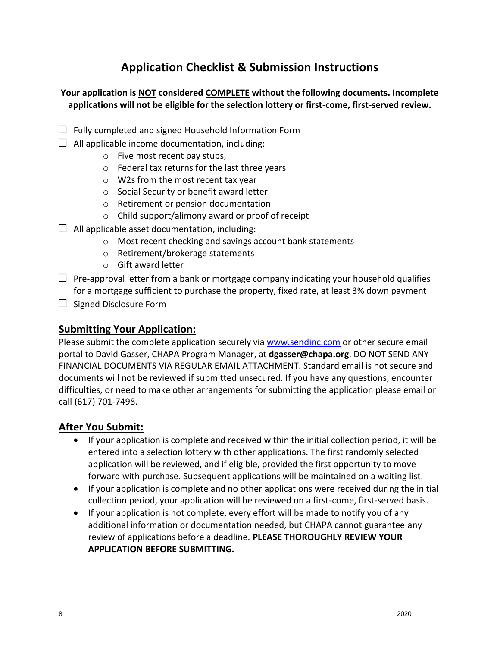# **Application Checklist & Submission Instructions**

#### **Your application is NOT considered COMPLETE without the following documents. Incomplete applications will not be eligible for the selection lottery or first-come, first-served review.**

- $\Box$  Fully completed and signed Household Information Form
- $\Box$  All applicable income documentation, including:
	- o Five most recent pay stubs,
	- o Federal tax returns for the last three years
	- o W2s from the most recent tax year
	- o Social Security or benefit award letter
	- o Retirement or pension documentation
	- o Child support/alimony award or proof of receipt
- $\Box$  All applicable asset documentation, including:
	- o Most recent checking and savings account bank statements
	- o Retirement/brokerage statements
	- o Gift award letter
- $\Box$  Pre-approval letter from a bank or mortgage company indicating your household qualifies for a mortgage sufficient to purchase the property, fixed rate, at least 3% down payment
- $\Box$  Signed Disclosure Form

#### **Submitting Your Application:**

Please submit the complete application securely vi[a www.sendinc.com](http://www.sendinc.com/) or other secure email portal to David Gasser, CHAPA Program Manager, at **dgasser@chapa.org**. DO NOT SEND ANY FINANCIAL DOCUMENTS VIA REGULAR EMAIL ATTACHMENT. Standard email is not secure and documents will not be reviewed if submitted unsecured. If you have any questions, encounter difficulties, or need to make other arrangements for submitting the application please email or call (617) 701-7498.

#### **After You Submit:**

- If your application is complete and received within the initial collection period, it will be entered into a selection lottery with other applications. The first randomly selected application will be reviewed, and if eligible, provided the first opportunity to move forward with purchase. Subsequent applications will be maintained on a waiting list.
- If your application is complete and no other applications were received during the initial collection period, your application will be reviewed on a first-come, first-served basis.
- If your application is not complete, every effort will be made to notify you of any additional information or documentation needed, but CHAPA cannot guarantee any review of applications before a deadline. **PLEASE THOROUGHLY REVIEW YOUR APPLICATION BEFORE SUBMITTING.**